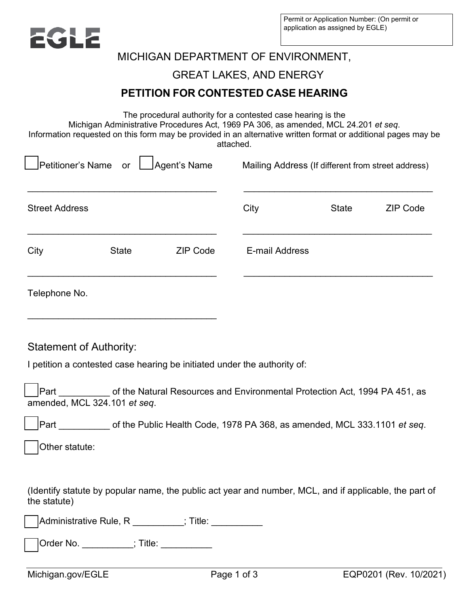

# MICHIGAN DEPARTMENT OF ENVIRONMENT,

### GREAT LAKES, AND ENERGY

## **PETITION FOR CONTESTED CASE HEARING**

The procedural authority for a contested case hearing is the

Michigan Administrative Procedures Act, 1969 PA 306, as amended, MCL 24.201 *et seq*.

Information requested on this form may be provided in an alternative written format or additional pages may be attached.

| Petitioner's Name<br>Agent's Name<br>or |                                         |                                                                                                        | Mailing Address (If different from street address) |              |                 |  |
|-----------------------------------------|-----------------------------------------|--------------------------------------------------------------------------------------------------------|----------------------------------------------------|--------------|-----------------|--|
| <b>Street Address</b>                   |                                         |                                                                                                        | City                                               | <b>State</b> | <b>ZIP Code</b> |  |
| City                                    | <b>State</b>                            | <b>ZIP Code</b>                                                                                        | <b>E-mail Address</b>                              |              |                 |  |
| Telephone No.                           |                                         |                                                                                                        |                                                    |              |                 |  |
| <b>Statement of Authority:</b>          |                                         | I petition a contested case hearing be initiated under the authority of:                               |                                                    |              |                 |  |
| Part                                    | amended, MCL 324.101 et seq.            | of the Natural Resources and Environmental Protection Act, 1994 PA 451, as                             |                                                    |              |                 |  |
|                                         |                                         | Part of the Public Health Code, 1978 PA 368, as amended, MCL 333.1101 et seq.                          |                                                    |              |                 |  |
| Other statute:                          |                                         |                                                                                                        |                                                    |              |                 |  |
| the statute)                            |                                         | (Identify statute by popular name, the public act year and number, MCL, and if applicable, the part of |                                                    |              |                 |  |
|                                         |                                         | ]Administrative Rule, R __________; Title: __________                                                  |                                                    |              |                 |  |
|                                         | Order No. __________; Title: __________ |                                                                                                        |                                                    |              |                 |  |
|                                         |                                         |                                                                                                        |                                                    |              |                 |  |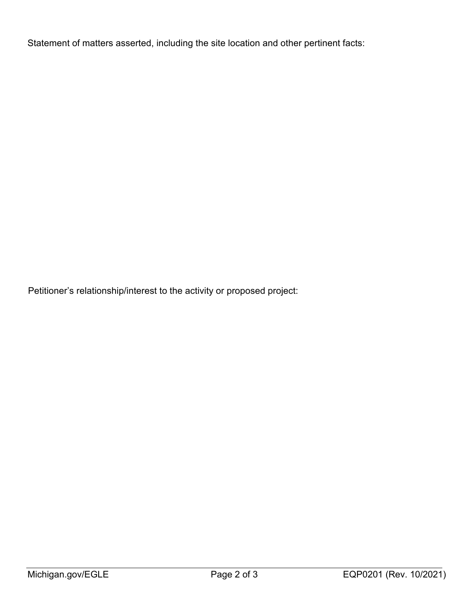Statement of matters asserted, including the site location and other pertinent facts:

Petitioner's relationship/interest to the activity or proposed project: